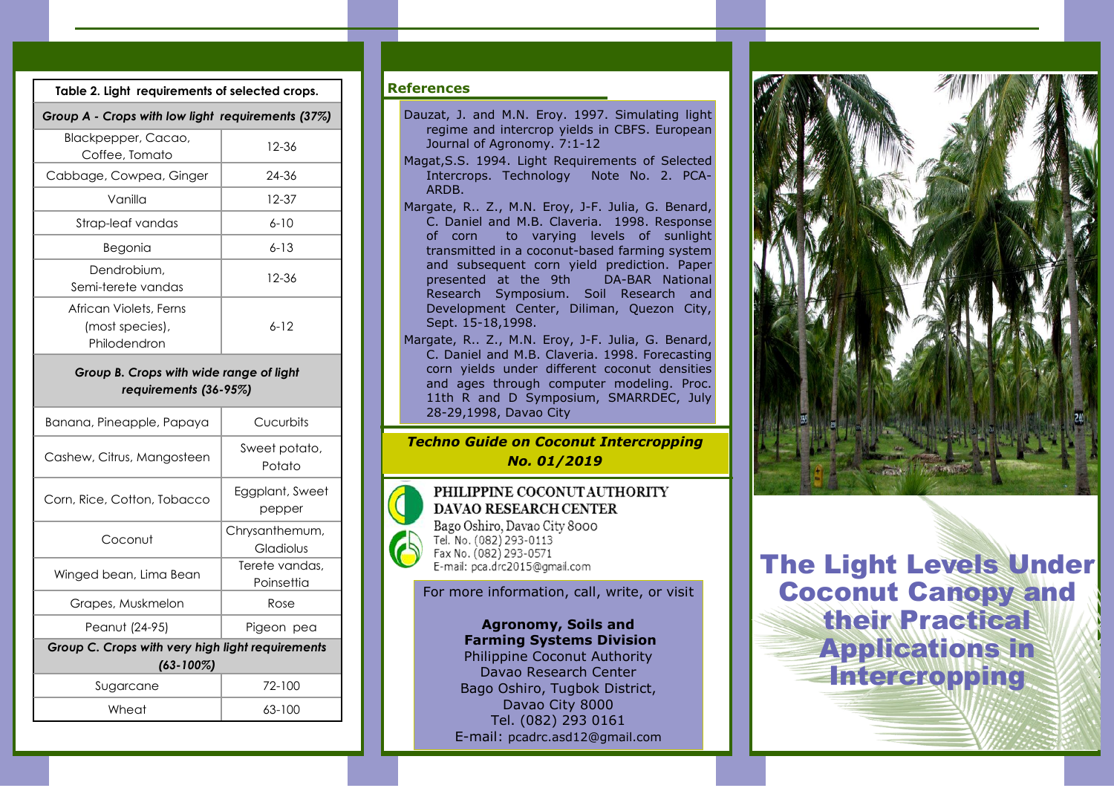| Table 2. Light requirements of selected crops.                   |          |  |  |  |  |
|------------------------------------------------------------------|----------|--|--|--|--|
| Group A - Crops with low light requirements (37%)                |          |  |  |  |  |
| Blackpepper, Cacao,<br>Coffee, Tomato                            | 12-36    |  |  |  |  |
| Cabbage, Cowpea, Ginger                                          | 24-36    |  |  |  |  |
| Vanilla                                                          | 12-37    |  |  |  |  |
| Strap-leaf vandas                                                | $6 - 10$ |  |  |  |  |
| Begonia                                                          | $6 - 13$ |  |  |  |  |
| Dendrobium,<br>Semi-terete vandas                                | 12-36    |  |  |  |  |
| African Violets, Ferns<br>(most species),<br>Philodendron        | $6 - 12$ |  |  |  |  |
| Group B. Crops with wide range of light<br>requirements (36-95%) |          |  |  |  |  |

| Banana, Pineapple, Papaya                        | Cucurbits                    |  |  |  |  |  |
|--------------------------------------------------|------------------------------|--|--|--|--|--|
| Cashew, Citrus, Mangosteen                       | Sweet potato,<br>Potato      |  |  |  |  |  |
| Corn, Rice, Cotton, Tobacco                      | Eggplant, Sweet<br>pepper    |  |  |  |  |  |
| Coconut                                          | Chrysanthemum,<br>Gladiolus  |  |  |  |  |  |
| Winged bean, Lima Bean                           | Terete vandas.<br>Poinsettia |  |  |  |  |  |
| Grapes, Muskmelon                                | Rose                         |  |  |  |  |  |
| Peanut (24-95)                                   | Pigeon pea                   |  |  |  |  |  |
| Group C. Crops with very high light requirements |                              |  |  |  |  |  |
| $(63 - 100\%)$                                   |                              |  |  |  |  |  |
| Sugarcane                                        | 72-100                       |  |  |  |  |  |
| Wheat                                            | 63-100                       |  |  |  |  |  |

## References

- Dauzat, J. and M.N. Eroy. 1997. Simulating light regime and intercrop yields in CBFS. European Journal of Agronomy. 7:1-12
- Magat,S.S. 1994. Light Requirements of Selected Intercrops. Technology Note No. 2. PCA-ARDB.
- Margate, R.. Z., M.N. Eroy, J-F. Julia, G. Benard, C. Daniel and M.B. Claveria. 1998. Response<br>of corn to varving levels of sunlight to varying levels of sunlight transmitted in a coconut-based farming system and subsequent corn yield prediction. Paper presented at the 9th DA-BAR National Research Symposium. Soil Research and Development Center, Diliman, Quezon City, Sept. 15-18,1998.
- Margate, R.. Z., M.N. Eroy, J-F. Julia, G. Benard, C. Daniel and M.B. Claveria. 1998. Forecasting corn yields under different coconut densities and ages through computer modeling. Proc. 11th R and D Symposium, SMARRDEC, July 28-29,1998, Davao City

## *Techno Guide on Coconut Intercropping No. 01/2019*

#### PHILIPPINE COCONUT AUTHORITY **DAVAO RESEARCH CENTER** Bago Oshiro, Davao City 8000 Tel. No. (082) 293-0113 Fax No. (082) 293-0571 E-mail: pca.drc2015@gmail.com

## For more information, call, write, or visit

Agronomy, Soils and Farming Systems Division Philippine Coconut Authority Davao Research Center Bago Oshiro, Tugbok District, Davao City 8000 Tel. (082) 293 0161 E-mail: pcadrc.asd12@gmail.com



The Light Levels Under Coconut Canopy and **their Practical** Applications in **Intercropping**